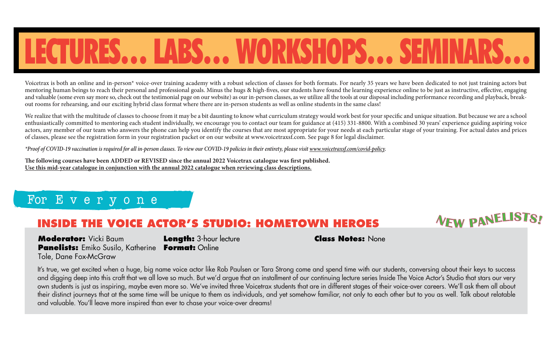## LECTURES… LABS… WORKSHOPS… SEMINARS…

Voicetrax is both an online and in-person\* voice-over training academy with a robust selection of classes for both formats. For nearly 35 years we have been dedicated to not just training actors but mentoring human beings to reach their personal and professional goals. Minus the hugs & high-fives, our students have found the learning experience online to be just as instructive, effective, engaging and valuable (some even say more so, check out the testimonial page on our website) as our in-person classes, as we utilize all the tools at our disposal including performance recording and playback, breakout rooms for rehearsing, and our exciting hybrid class format where there are in-person students as well as online students in the same class!

We realize that with the multitude of classes to choose from it may be a bit daunting to know what curriculum strategy would work best for your specific and unique situation. But because we are a school enthusiastically committed to mentoring each student individually, we encourage you to contact our team for guidance at (415) 331-8800. With a combined 30 years' experience guiding aspiring voice actors, any member of our team who answers the phone can help you identify the courses that are most appropriate for your needs at each particular stage of your training. For actual dates and prices of classes, please see the registration form in your registration packet or on our website at www.voicetraxsf.com. See page 8 for legal disclaimer.

*\*Proof of COVID-19 vaccination is required for all in-person classes. To view our COVID-19 policies in their entirety, please visit www.voicetraxsf.com/covid-policy.*

The following courses have been ADDED or REVISED since the annual 2022 Voicetrax catalogue was first published. **Use this mid-year catalogue in conjunction with the annual 2022 catalogue when reviewing class descriptions.**

#### For E v e r y o n e

### **INSIDE THE VOICE ACTOR'S STUDIO: HOMETOWN HEROES**  $N_{EW}$  **panellist**

**Moderator:** Vicki Baum **Panelists:** Emiko Susilo, Katherine **Format:** Online Tole, Dane Fox-McGraw

**Length:** 3-hour lecture

**Class Notes:** None

It's true, we get excited when a huge, big name voice actor like Rob Paulsen or Tara Strong come and spend time with our students, conversing about their keys to success and digging deep into this craft that we all love so much. But we'd argue that an installment of our continuing lecture series Inside The Voice Actor's Studio that stars our very own students is just as inspiring, maybe even more so. We've invited three Voicetrax students that are in different stages of their voice-over careers. We'll ask them all about their distinct journeys that at the same time will be unique to them as individuals, and yet somehow familiar, not only to each other but to you as well. Talk about relatable and valuable. You'll leave more inspired than ever to chase your voice-over dreams!